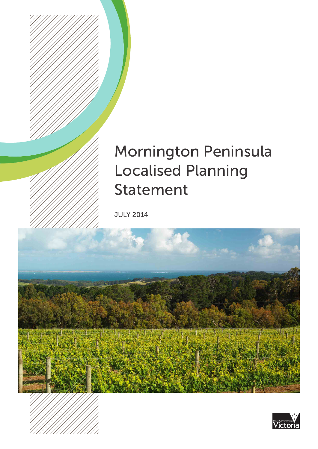# Mornington Peninsula Localised Planning Statement

JULY 2014



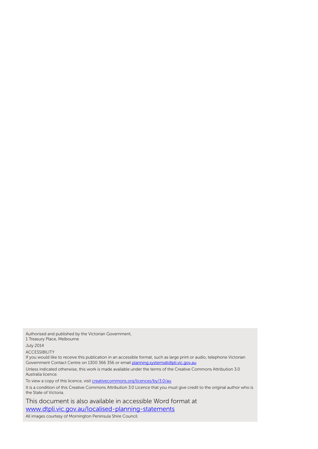Authorised and published by the Victorian Government,

1 Treasury Place, Melbourne

July 2014

ACCESSIBILITY

If you would like to receive this publication in an accessible format, such as large print or audio, telephone Victorian Government Contact Centre on 1300 366 356 or email planning.systems@dtpli.vic.gov.au

Unless indicated otherwise, this work is made available under the terms of the Creative Commons Attribution 3.0 Australia licence.

To view a copy of this licence, visit creativecommons.org/licences/by/3.0/au

It is a condition of this Creative Commons Attribution 3.0 Licence that you must give credit to the original author who is the State of Victoria.

This document is also available in accessible Word format at www.dtpli.vic.gov.au/localised-planning-statements

All images courtesy of Mornington Peninsula Shire Council.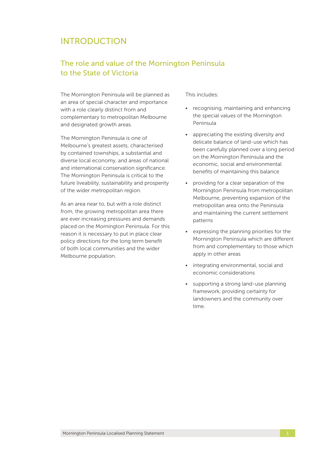## INTRODUCTION

## The role and value of the Mornington Peninsula to the State of Victoria

The Mornington Peninsula will be planned as an area of special character and importance with a role clearly distinct from and complementary to metropolitan Melbourne and designated growth areas.

The Mornington Peninsula is one of Melbourne's greatest assets, characterised by contained townships, a substantial and diverse local economy, and areas of national and international conservation significance. The Mornington Peninsula is critical to the future liveability, sustainability and prosperity of the wider metropolitan region.

As an area near to, but with a role distinct from, the growing metropolitan area there are ever increasing pressures and demands placed on the Mornington Peninsula. For this reason it is necessary to put in place clear policy directions for the long term benefit of both local communities and the wider Melbourne population.

This includes:

- recognising, maintaining and enhancing the special values of the Mornington Peninsula
- appreciating the existing diversity and delicate balance of land-use which has been carefully planned over a long period on the Mornington Peninsula and the economic, social and environmental benefits of maintaining this balance
- providing for a clear separation of the Mornington Peninsula from metropolitan Melbourne, preventing expansion of the metropolitan area onto the Peninsula and maintaining the current settlement patterns
- expressing the planning priorities for the Mornington Peninsula which are different from and complementary to those which apply in other areas
- • integrating environmental, social and economic considerations
- • supporting a strong land-use planning framework, providing certainty for landowners and the community over time.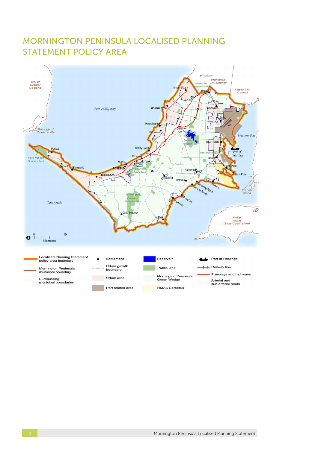# MORNINGTON PENINSULA LOCALISED PLANNING STATEMENT POLICY AREA

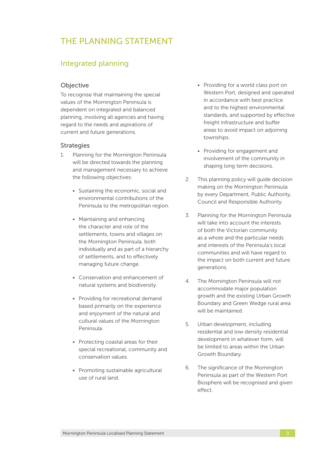# THE PLANNING STATEMENT

## Integrated planning

## **Objective**

To recognise that maintaining the special values of the Mornington Peninsula is dependent on integrated and balanced planning, involving all agencies and having regard to the needs and aspirations of current and future generations.

- 1. Planning for the Mornington Peninsula will be directed towards the planning and management necessary to achieve the following objectives:
	- Sustaining the economic, social and environmental contributions of the Peninsula to the metropolitan region.
	- • Maintaining and enhancing the character and role of the settlements, towns and villages on the Mornington Peninsula, both individually and as part of a hierarchy of settlements, and to effectively managing future change.
	- • Conservation and enhancement of natural systems and biodiversity.
	- Providing for recreational demand based primarily on the experience and enjoyment of the natural and cultural values of the Mornington Peninsula.
	- Protecting coastal areas for their special recreational, community and conservation values.
	- • Promoting sustainable agricultural use of rural land.
- Providing for a world class port on Western Port, designed and operated in accordance with best practice and to the highest environmental standards, and supported by effective freight infrastructure and buffer areas to avoid impact on adjoining townships.
- • Providing for engagement and involvement of the community in shaping long term decisions.
- 2. This planning policy will guide decision making on the Mornington Peninsula by every Department, Public Authority, Council and Responsible Authority.
- 3. Planning for the Mornington Peninsula will take into account the interests of both the Victorian community as a whole and the particular needs and interests of the Peninsula's local communities and will have regard to the impact on both current and future generations.
- 4. The Mornington Peninsula will not accommodate major population growth and the existing Urban Growth Boundary and Green Wedge rural area will be maintained.
- 5. Urban development, including residential and low density residential development in whatever form, will be limited to areas within the Urban Growth Boundary.
- 6. The significance of the Mornington Peninsula as part of the Western Port Biosphere will be recognised and given effect.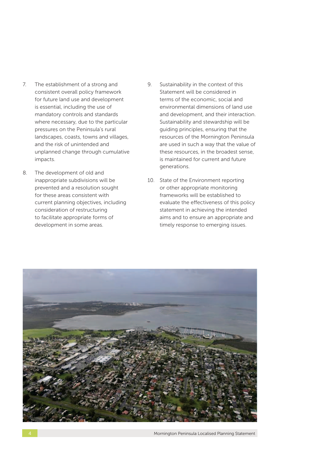- 7. The establishment of a strong and consistent overall policy framework for future land use and development is essential, including the use of mandatory controls and standards where necessary, due to the particular pressures on the Peninsula's rural landscapes, coasts, towns and villages, and the risk of unintended and unplanned change through cumulative impacts.
- 8. The development of old and inappropriate subdivisions will be prevented and a resolution sought for these areas consistent with current planning objectives, including consideration of restructuring to facilitate appropriate forms of development in some areas.
- 9. Sustainability in the context of this Statement will be considered in terms of the economic, social and environmental dimensions of land use and development, and their interaction. Sustainability and stewardship will be guiding principles, ensuring that the resources of the Mornington Peninsula are used in such a way that the value of these resources, in the broadest sense, is maintained for current and future generations.
- 10. State of the Environment reporting or other appropriate monitoring frameworks will be established to evaluate the effectiveness of this policy statement in achieving the intended aims and to ensure an appropriate and timely response to emerging issues.

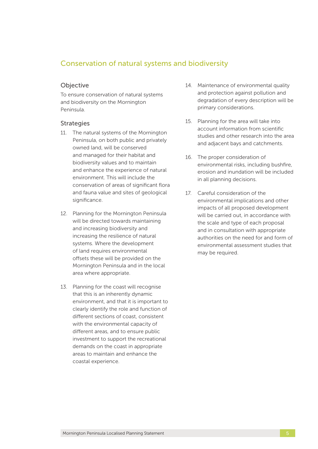## Conservation of natural systems and biodiversity

## **Objective**

To ensure conservation of natural systems and biodiversity on the Mornington Peninsula.

- 11. The natural systems of the Mornington Peninsula, on both public and privately owned land, will be conserved and managed for their habitat and biodiversity values and to maintain and enhance the experience of natural environment. This will include the conservation of areas of significant flora and fauna value and sites of geological significance.
- 12. Planning for the Mornington Peninsula will be directed towards maintaining and increasing biodiversity and increasing the resilience of natural systems. Where the development of land requires environmental offsets these will be provided on the Mornington Peninsula and in the local area where appropriate.
- 13. Planning for the coast will recognise that this is an inherently dynamic environment, and that it is important to clearly identify the role and function of different sections of coast, consistent with the environmental capacity of different areas, and to ensure public investment to support the recreational demands on the coast in appropriate areas to maintain and enhance the coastal experience.
- 14. Maintenance of environmental quality and protection against pollution and degradation of every description will be primary considerations.
- 15. Planning for the area will take into account information from scientific studies and other research into the area and adjacent bays and catchments.
- 16. The proper consideration of environmental risks, including bushfire, erosion and inundation will be included in all planning decisions.
- 17. Careful consideration of the environmental implications and other impacts of all proposed development will be carried out, in accordance with the scale and type of each proposal and in consultation with appropriate authorities on the need for and form of environmental assessment studies that may be required.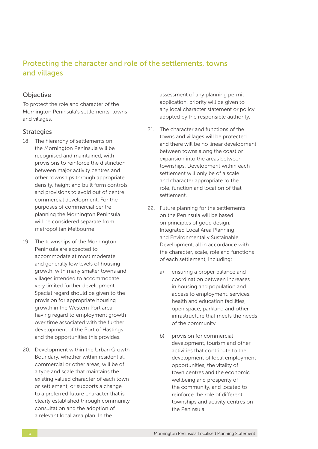## Protecting the character and role of the settlements, towns and villages

## Objective

To protect the role and character of the Mornington Peninsula's settlements, towns and villages.

#### **Strategies**

- 18. The hierarchy of settlements on the Mornington Peninsula will be recognised and maintained, with provisions to reinforce the distinction between major activity centres and other townships through appropriate density, height and built form controls and provisions to avoid out of centre commercial development. For the purposes of commercial centre planning the Mornington Peninsula will be considered separate from metropolitan Melbourne.
- 19. The townships of the Mornington Peninsula are expected to accommodate at most moderate and generally low levels of housing growth, with many smaller towns and villages intended to accommodate very limited further development. Special regard should be given to the provision for appropriate housing growth in the Western Port area, having regard to employment growth over time associated with the further development of the Port of Hastings and the opportunities this provides.
- 20. Development within the Urban Growth Boundary, whether within residential, commercial or other areas, will be of a type and scale that maintains the existing valued character of each town or settlement, or supports a change to a preferred future character that is clearly established through community consultation and the adoption of a relevant local area plan. In the

assessment of any planning permit application, priority will be given to any local character statement or policy adopted by the responsible authority.

- 21. The character and functions of the towns and villages will be protected and there will be no linear development between towns along the coast or expansion into the areas between townships. Development within each settlement will only be of a scale and character appropriate to the role, function and location of that settlement.
- 22. Future planning for the settlements on the Peninsula will be based on principles of good design, Integrated Local Area Planning and Environmentally Sustainable Development, all in accordance with the character, scale, role and functions of each settlement, including:
	- a) ensuring a proper balance and coordination between increases in housing and population and access to employment, services, health and education facilities, open space, parkland and other infrastructure that meets the needs of the community
	- b) provision for commercial development, tourism and other activities that contribute to the development of local employment opportunities, the vitality of town centres and the economic wellbeing and prosperity of the community, and located to reinforce the role of different townships and activity centres on the Peninsula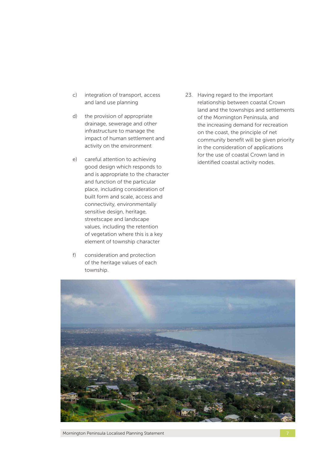- c) integration of transport, access and land use planning
- d) the provision of appropriate drainage, sewerage and other infrastructure to manage the impact of human settlement and activity on the environment
- e) careful attention to achieving good design which responds to and is appropriate to the character and function of the particular place, including consideration of built form and scale, access and connectivity, environmentally sensitive design, heritage, streetscape and landscape values, including the retention of vegetation where this is a key element of township character
- f) consideration and protection of the heritage values of each township.

23. Having regard to the important relationship between coastal Crown land and the townships and settlements of the Mornington Peninsula, and the increasing demand for recreation on the coast, the principle of net community benefit will be given priority in the consideration of applications for the use of coastal Crown land in identified coastal activity nodes.

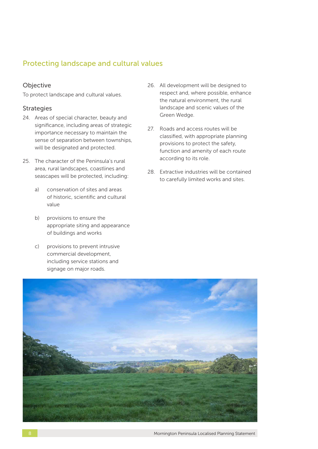## Protecting landscape and cultural values

## Objective

To protect landscape and cultural values.

- 24. Areas of special character, beauty and significance, including areas of strategic importance necessary to maintain the sense of separation between townships, will be designated and protected.
- 25. The character of the Peninsula's rural area, rural landscapes, coastlines and seascapes will be protected, including:
	- a) conservation of sites and areas of historic, scientific and cultural value
	- b) provisions to ensure the appropriate siting and appearance of buildings and works
	- c) provisions to prevent intrusive commercial development, including service stations and signage on major roads.
- 26. All development will be designed to respect and, where possible, enhance the natural environment, the rural landscape and scenic values of the Green Wedge.
- 27. Roads and access routes will be classified, with appropriate planning provisions to protect the safety, function and amenity of each route according to its role.
- 28. Extractive industries will be contained to carefully limited works and sites.

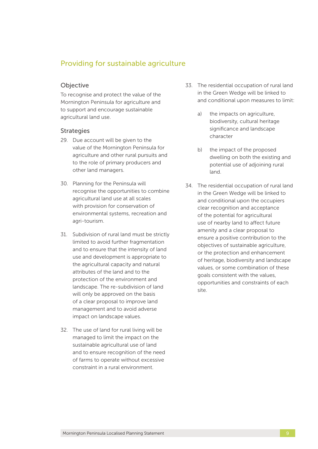## Providing for sustainable agriculture

### Objective

To recognise and protect the value of the Mornington Peninsula for agriculture and to support and encourage sustainable agricultural land use.

- 29. Due account will be given to the value of the Mornington Peninsula for agriculture and other rural pursuits and to the role of primary producers and other land managers.
- 30. Planning for the Peninsula will recognise the opportunities to combine agricultural land use at all scales with provision for conservation of environmental systems, recreation and agri-tourism.
- 31. Subdivision of rural land must be strictly limited to avoid further fragmentation and to ensure that the intensity of land use and development is appropriate to the agricultural capacity and natural attributes of the land and to the protection of the environment and landscape. The re-subdivision of land will only be approved on the basis of a clear proposal to improve land management and to avoid adverse impact on landscape values.
- 32. The use of land for rural living will be managed to limit the impact on the sustainable agricultural use of land and to ensure recognition of the need of farms to operate without excessive constraint in a rural environment.
- 33. The residential occupation of rural land in the Green Wedge will be linked to and conditional upon measures to limit:
	- a) the impacts on agriculture, biodiversity, cultural heritage significance and landscape character
	- b) the impact of the proposed dwelling on both the existing and potential use of adjoining rural land.
- 34. The residential occupation of rural land in the Green Wedge will be linked to and conditional upon the occupiers clear recognition and acceptance of the potential for agricultural use of nearby land to affect future amenity and a clear proposal to ensure a positive contribution to the objectives of sustainable agriculture, or the protection and enhancement of heritage, biodiversity and landscape values, or some combination of these goals consistent with the values, opportunities and constraints of each site.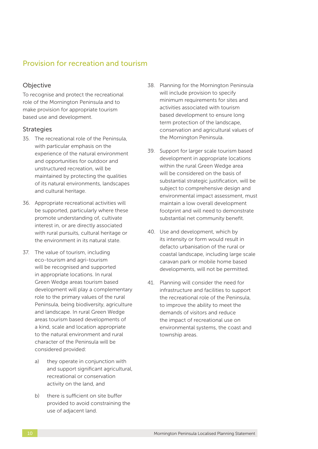## Provision for recreation and tourism

## **Objective**

To recognise and protect the recreational role of the Mornington Peninsula and to make provision for appropriate tourism based use and development.

- 35. The recreational role of the Peninsula, with particular emphasis on the experience of the natural environment and opportunities for outdoor and unstructured recreation, will be maintained by protecting the qualities of its natural environments, landscapes and cultural heritage.
- 36. Appropriate recreational activities will be supported, particularly where these promote understanding of, cultivate interest in, or are directly associated with rural pursuits, cultural heritage or the environment in its natural state.
- 37. The value of tourism, including eco-tourism and agri-tourism will be recognised and supported in appropriate locations. In rural Green Wedge areas tourism based development will play a complementary role to the primary values of the rural Peninsula, being biodiversity, agriculture and landscape. In rural Green Wedge areas tourism based developments of a kind, scale and location appropriate to the natural environment and rural character of the Peninsula will be considered provided:
	- a) they operate in conjunction with and support significant agricultural, recreational or conservation activity on the land, and
	- b) there is sufficient on site buffer provided to avoid constraining the use of adjacent land.
- 38. Planning for the Mornington Peninsula will include provision to specify minimum requirements for sites and activities associated with tourism based development to ensure long term protection of the landscape, conservation and agricultural values of the Mornington Peninsula.
- 39. Support for larger scale tourism based development in appropriate locations within the rural Green Wedge area will be considered on the basis of substantial strategic justification, will be subject to comprehensive design and environmental impact assessment, must maintain a low overall development footprint and will need to demonstrate substantial net community benefit.
- 40. Use and development, which by its intensity or form would result in defacto urbanisation of the rural or coastal landscape, including large scale caravan park or mobile home based developments, will not be permitted.
- 41. Planning will consider the need for infrastructure and facilities to support the recreational role of the Peninsula, to improve the ability to meet the demands of visitors and reduce the impact of recreational use on environmental systems, the coast and township areas.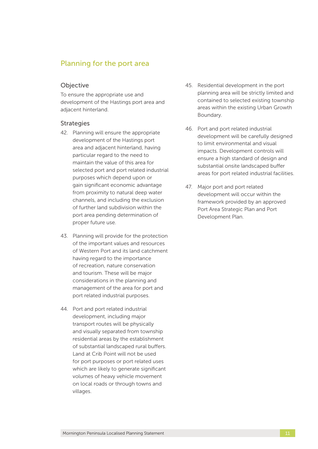## Planning for the port area

#### **Objective**

To ensure the appropriate use and development of the Hastings port area and adjacent hinterland.

- 42. Planning will ensure the appropriate development of the Hastings port area and adjacent hinterland, having particular regard to the need to maintain the value of this area for selected port and port related industrial purposes which depend upon or gain significant economic advantage from proximity to natural deep water channels, and including the exclusion of further land subdivision within the port area pending determination of proper future use.
- 43. Planning will provide for the protection of the important values and resources of Western Port and its land catchment having regard to the importance of recreation, nature conservation and tourism. These will be major considerations in the planning and management of the area for port and port related industrial purposes.
- 44. Port and port related industrial development, including major transport routes will be physically and visually separated from township residential areas by the establishment of substantial landscaped rural buffers. Land at Crib Point will not be used for port purposes or port related uses which are likely to generate significant volumes of heavy vehicle movement on local roads or through towns and villages.
- 45. Residential development in the port planning area will be strictly limited and contained to selected existing township areas within the existing Urban Growth Boundary.
- 46. Port and port related industrial development will be carefully designed to limit environmental and visual impacts. Development controls will ensure a high standard of design and substantial onsite landscaped buffer areas for port related industrial facilities.
- 47. Major port and port related development will occur within the framework provided by an approved Port Area Strategic Plan and Port Development Plan.